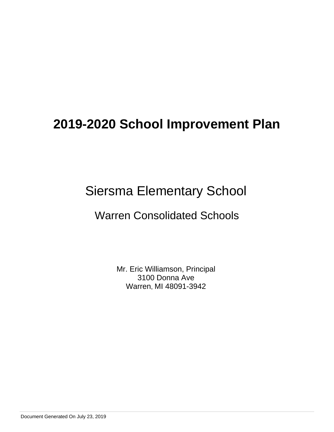# Siersma Elementary School

# Warren Consolidated Schools

Mr. Eric Williamson, Principal 3100 Donna Ave Warren, MI 48091-3942

Document Generated On July 23, 2019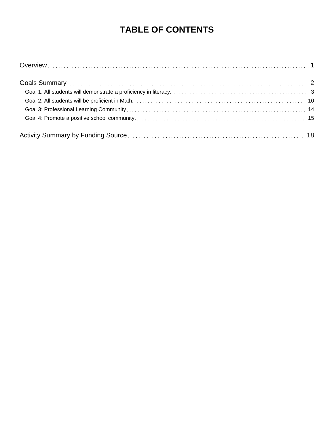# **TABLE OF CONTENTS**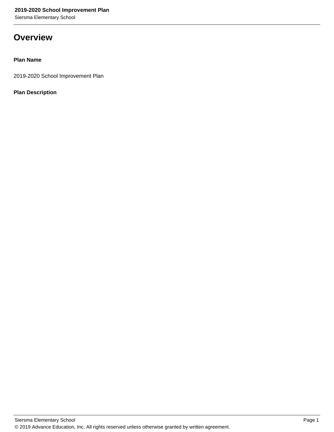Siersma Elementary School

### **Overview**

### **Plan Name**

2019-2020 School Improvement Plan

### **Plan Description**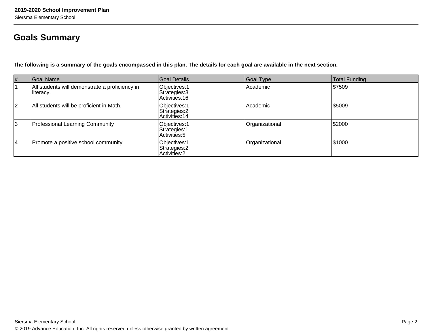## **Goals Summary**

**The following is a summary of the goals encompassed in this plan. The details for each goal are available in the next section.**

| #              | Goal Name                                                   | Goal Details                                           | Goal Type      | <b>Total Funding</b> |
|----------------|-------------------------------------------------------------|--------------------------------------------------------|----------------|----------------------|
|                | All students will demonstrate a proficiency in<br>literacy. | Objectives: 1<br>Strategies: 3<br>Activities: 16       | Academic       | \$7509               |
| $\overline{2}$ | All students will be proficient in Math.                    | Objectives: 1<br>Strategies: 2<br>Activities: 14       | Academic       | \$5009               |
| 3              | <b>Professional Learning Community</b>                      | Objectives: 1<br>Strategies: 1<br>Activities: 5        | Organizational | \$2000               |
| 4              | Promote a positive school community.                        | Objectives: 1<br>Strategies: 2<br><b>Activities: 2</b> | Organizational | \$1000               |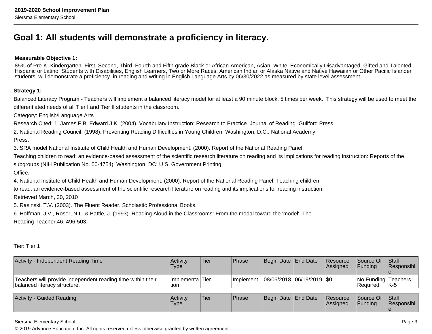### **Goal 1: All students will demonstrate a proficiency in literacy.**

### **Measurable Objective 1:**

85% of Pre-K, Kindergarten, First, Second, Third, Fourth and Fifth grade Black or African-American, Asian, White, Economically Disadvantaged, Gifted and Talented, Hispanic or Latino, Students with Disabilities, English Learners, Two or More Races, American Indian or Alaska Native and Native Hawaiian or Other Pacific Islanderstudents will demonstrate a proficiency in reading and writing in English Language Arts by 06/30/2022 as measured by state level assessment.

### **Strategy 1:**

Balanced Literacy Program - Teachers will implement a balanced literacy model for at least a 90 minute block, 5 times per week. This strategy will be used to meet thedifferentiated needs of all Tier I and Tier II students in the classroom.

Category: English/Language Arts

Research Cited: 1. James F.B, Edward J.K. (2004). Vocabulary Instruction: Research to Practice. Journal of Reading. Guilford Press

2. National Reading Council. (1998). Preventing Reading Difficulties in Young Children. Washington, D.C.: National Academy

Press.

3. SRA model National Institute of Child Health and Human Development. (2000). Report of the National Reading Panel.

Teaching children to read: an evidence-based assessment of the scientific research literature on reading and its implications for reading instruction: Reports of thesubgroups (NIH Publication No. 00-4754). Washington, DC: U.S. Government Printing

Office.

4. National Institute of Child Health and Human Development. (2000). Report of the National Reading Panel. Teaching children

to read: an evidence-based assessment of the scientific research literature on reading and its implications for reading instruction.

Retrieved March, 30, 2010

5. Rasinski, T.V. (2003). The Fluent Reader. Scholastic Professional Books.

6. Hoffman, J.V., Roser, N.L. & Battle, J. (1993). Reading Aloud in the Classrooms: From the modal toward the 'model'. TheReading Teacher.46, 496-503.

Tier: Tier 1

| Activity - Independent Reading Time                                                         | Activity<br><b>Type</b>    | Tier | Phase             | Begin Date End Date           | <b>Resource</b><br>Assigned | Source Of<br><b>IFunding</b>    | <b>Staff</b><br>Responsibl |
|---------------------------------------------------------------------------------------------|----------------------------|------|-------------------|-------------------------------|-----------------------------|---------------------------------|----------------------------|
| Teachers will provide independent reading time within their<br>balanced literacy structure. | Implementa Tier 1<br>Ition |      | <b>Ilmplement</b> | $ 08/06/2018 06/19/2019 $ \$0 |                             | No Funding Teachers<br>Required | <b>IK-5</b>                |
| <b>Activity - Guided Reading</b>                                                            | Activity<br><b>Type</b>    | Tier | Phase             | Begin Date End Date           | Resource<br>Assigned        | Source Of<br><b>IFunding</b>    | <b>Staff</b><br>Responsibl |

Siersma Elementary School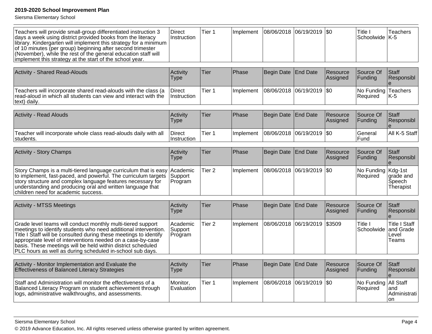Siersma Elementary School

| Teachers will provide small-group differentiated instruction 3<br>days a week using district provided books from the literacy<br>library. Kindergarten will implement this strategy for a minimum<br>of 10 minutes (per group) beginning after second trimester<br>(November), while the rest of the general education staff will<br>implement this strategy at the start of the school year.   | Direct<br>Instruction          | Tier 1            | Implement | 08/06/2018            | 06/19/2019      | \$0                  | Title I<br>Schoolwide   K-5      | Teachers                                            |
|-------------------------------------------------------------------------------------------------------------------------------------------------------------------------------------------------------------------------------------------------------------------------------------------------------------------------------------------------------------------------------------------------|--------------------------------|-------------------|-----------|-----------------------|-----------------|----------------------|----------------------------------|-----------------------------------------------------|
| <b>Activity - Shared Read-Alouds</b>                                                                                                                                                                                                                                                                                                                                                            | Activity<br><b>Type</b>        | Tier              | Phase     | Begin Date            | <b>End Date</b> | Resource<br>Assigned | Source Of<br>Funding             | <b>Staff</b><br>Responsibl                          |
|                                                                                                                                                                                                                                                                                                                                                                                                 |                                |                   |           |                       |                 |                      |                                  |                                                     |
| Teachers will incorporate shared read-alouds with the class (a<br>read-aloud in which all students can view and interact with the<br>text) daily.                                                                                                                                                                                                                                               | <b>Direct</b><br>Instruction   | Tier 1            | Implement | 08/06/2018 06/19/2019 |                 | \$0                  | No Funding<br>Required           | <b>Teachers</b><br>K-5                              |
|                                                                                                                                                                                                                                                                                                                                                                                                 |                                |                   |           |                       |                 |                      |                                  |                                                     |
| <b>Activity - Read Alouds</b>                                                                                                                                                                                                                                                                                                                                                                   | Activity<br><b>Type</b>        | Tier              | Phase     | Begin Date            | <b>End Date</b> | Resource<br>Assigned | Source Of<br>Funding             | <b>Staff</b><br>Responsibl                          |
| Teacher will incorporate whole class read-alouds daily with all<br>students.                                                                                                                                                                                                                                                                                                                    | Direct<br>Instruction          | Tier 1            | Implement | 08/06/2018 06/19/2019 |                 | <b>SO</b>            | General<br>Fund                  | All K-5 Staff                                       |
| <b>Activity - Story Champs</b>                                                                                                                                                                                                                                                                                                                                                                  | Activity                       | <b>Tier</b>       | Phase     | Begin Date            | <b>End Date</b> | Resource             | Source Of                        | Staff                                               |
|                                                                                                                                                                                                                                                                                                                                                                                                 | <b>Type</b>                    |                   |           |                       |                 | Assigned             | Funding                          | Responsibl                                          |
| Story Champs is a multi-tiered language curriculum that is easy<br>to implement, fast-paced, and powerful. The curriculum targets<br>story structure and complex language features necessary for<br>understanding and producing oral and written language that<br>children need for academic success.                                                                                           | Academic<br>Support<br>Program | Tier <sub>2</sub> | Implement | 08/06/2018 06/19/2019 |                 | \$0                  | No Funding   Kdg-1st<br>Required | grade and<br>Speech<br>Therapist                    |
| <b>Activity - MTSS Meetings</b>                                                                                                                                                                                                                                                                                                                                                                 | Activity                       | Tier              | Phase     | Begin Date            | <b>End Date</b> | Resource             | Source Of                        | <b>Staff</b>                                        |
|                                                                                                                                                                                                                                                                                                                                                                                                 | <b>Type</b>                    |                   |           |                       |                 | Assigned             | Funding                          | Responsibl                                          |
| Grade level teams will conduct monthly multi-tiered support<br>meetings to identify students who need additional intervention.<br>Title I Staff will be consulted during these meetings to identify<br>appropriate level of interventions needed on a case-by-case<br>basis. These meetings will be held within district scheduled<br>PLC hours as well as during scheduled in-school sub days. | Academic<br>Support<br>Program | Tier <sub>2</sub> | Implement | 08/06/2018            | 06/19/2019      | \$3509               | Title I<br>Schoolwide            | <b>Title I Staff</b><br>and Grade<br>Level<br>Teams |
|                                                                                                                                                                                                                                                                                                                                                                                                 |                                |                   |           |                       |                 |                      |                                  |                                                     |
| Activity - Monitor Implementation and Evaluate the<br>Effectiveness of Balanced Literacy Strategies                                                                                                                                                                                                                                                                                             | Activity<br><b>Type</b>        | <b>Tier</b>       | Phase     | Begin Date            | <b>End Date</b> | Resource<br>Assigned | Source Of<br>Funding             | Staff<br>Responsibl                                 |
| Staff and Administration will monitor the effectiveness of a<br>Balanced Literacy Program on student achievement through<br>logs, administrative walkthroughs, and assessments.                                                                                                                                                                                                                 | Monitor.<br>Evaluation         | Tier 1            | Implement | 08/06/2018 06/19/2019 |                 | \$0                  | No Funding<br>Required           | All Staff<br>land<br>Administrati<br><b>on</b>      |

### Siersma Elementary School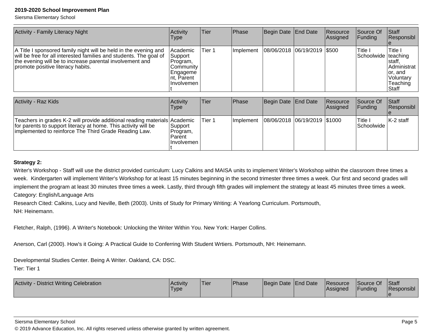Siersma Elementary School

| Activity - Family Literacy Night                                                                                                                                                                                                        | Activity<br><b>Type</b>                                                              | Tier   | Phase     | Begin Date End Date          | Resource<br>Assigned | Source Of<br>Funding           | Staff<br>Responsibl                                                                |
|-----------------------------------------------------------------------------------------------------------------------------------------------------------------------------------------------------------------------------------------|--------------------------------------------------------------------------------------|--------|-----------|------------------------------|----------------------|--------------------------------|------------------------------------------------------------------------------------|
| A Title I sponsored family night will be held in the evening and<br>will be free for all interested families and students. The goal of<br>the evening will be to increase parental involvement and<br>promote positive literacy habits. | Academic<br>Support<br>Program,<br>Community<br>Engageme<br>nt, Parent<br>Involvemen | Tier 1 | Implement | 08/06/2018 06/19/2019 \$500  |                      | Title I<br>Schoolwide teaching | Title I<br> staff,<br>IAdministrat<br>or, and<br> Voluntary<br>Teaching<br>l Staff |
|                                                                                                                                                                                                                                         |                                                                                      |        |           |                              |                      |                                |                                                                                    |
| <b>Activity - Raz Kids</b>                                                                                                                                                                                                              | Activity<br><b>Type</b>                                                              | Tier   | Phase     | Begin Date End Date          | Resource<br>Assigned | Source Of<br>Funding           | Staff<br>Responsibl                                                                |
| Teachers in grades K-2 will provide additional reading materials Academic<br>for parents to support literacy at home. This activity will be<br>implemented to reinforce The Third Grade Reading Law.                                    | Support<br>Program,                                                                  | Tier 1 | Implement | 08/06/2018 06/19/2019 \$1000 |                      | Title I<br>Schoolwide          | $K-2$ staff                                                                        |

### **Strategy 2:**

Writer's Workshop - Staff will use the district provided curriculum: Lucy Calkins and MAISA units to implement Writer's Workshop within the classroom three times aweek. Kindergarten will implement Writer's Workshop for at least 15 minutes beginning in the second trimester three times a week. Our first and second grades will implement the program at least 30 minutes three times a week. Lastly, third through fifth grades will implement the strategy at least 45 minutes three times a week. Category: English/Language Arts

Research Cited: Calkins, Lucy and Neville, Beth (2003). Units of Study for Primary Writing: A Yearlong Curriculum. Portsmouth,

ParentInvolvemen

t

NH: Heinemann.

Fletcher, Ralph, (1996). A Writer's Notebook: Unlocking the Writer Within You. New York: Harper Collins.

Anerson, Carl (2000). How's it Going: A Practical Guide to Conferring With Student Wrtiers. Portsmouth, NH: Heinemann.

Developmental Studies Center. Being A Writer. Oakland, CA: DSC.

Tier: Tier 1

| <b>District Writing Celebration</b><br><b>Activity</b> | l Activitv<br>'Type | Tier | Phase | Begin Date End Date | <b>Resource</b><br>Assianed | Source Of<br><sup>I</sup> Funding | <b>Staff</b><br>Responsibl |
|--------------------------------------------------------|---------------------|------|-------|---------------------|-----------------------------|-----------------------------------|----------------------------|
|                                                        |                     |      |       |                     |                             |                                   |                            |

#### Siersma Elementary School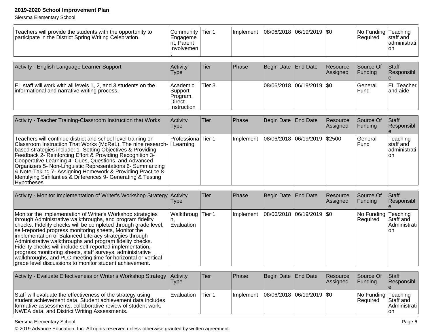Siersma Elementary School

| Teachers will provide the students with the opportunity to<br>participate in the District Spring Writing Celebration.                                                                                                                                                                                                                                                                                                                                                                                                                                                                                                           | Community   Tier 1<br>Engageme<br>nt, Parent<br>Involvemen |        |           | Implement   08/06/2018   06/19/2019   \$0 |                             |                      | No Funding Teaching<br>Required | staff and<br>administrati<br>on             |
|---------------------------------------------------------------------------------------------------------------------------------------------------------------------------------------------------------------------------------------------------------------------------------------------------------------------------------------------------------------------------------------------------------------------------------------------------------------------------------------------------------------------------------------------------------------------------------------------------------------------------------|------------------------------------------------------------|--------|-----------|-------------------------------------------|-----------------------------|----------------------|---------------------------------|---------------------------------------------|
| Activity - English Language Learner Support                                                                                                                                                                                                                                                                                                                                                                                                                                                                                                                                                                                     | Activity<br><b>Type</b>                                    | Tier   | Phase     | <b>Begin Date</b>                         | <b>End Date</b>             | Resource<br>Assigned | Source Of<br>Funding            | Staff<br>Responsibl                         |
| EL staff will work with all levels 1, 2, and 3 students on the<br>informational and narrative writing process.                                                                                                                                                                                                                                                                                                                                                                                                                                                                                                                  | Academic<br>Support<br>Program,<br>Direct<br>Instruction   | Tier 3 |           | 08/06/2018                                | 06/19/2019                  | \$0                  | General<br>Fund                 | <b>EL Teacher</b><br>and aide               |
| Activity - Teacher Training-Classroom Instruction that Works                                                                                                                                                                                                                                                                                                                                                                                                                                                                                                                                                                    | Activity<br><b>Type</b>                                    | Tier   | Phase     | <b>Begin Date</b>                         | End Date                    | Resource<br>Assigned | Source Of<br>Funding            | Staff<br>Responsibl                         |
| Teachers will continue district and school level training on<br>Classroom Instruction That Works (McReL). The nine research- I Learning<br>based strategies include: 1- Setting Objectives & Providing<br>Feedback 2- Reinforcing Effort & Providing Recognition 3-<br>Cooperative Learning 4- Cues, Questions, and Advanced<br>Organizers 5- Non-Linguistic Representations 6- Summarizing<br>& Note-Taking 7- Assigning Homework & Providing Practice 8-<br>Identifying Similarities & Differences 9- Generating & Testing<br>Hypotheses                                                                                      | Professiona <sup>Tier</sup> 1                              |        | Implement | 08/06/2018                                | 06/19/2019                  | \$2500               | General<br>Fund                 | Teaching<br>staff and<br>administrati<br>on |
| Activity - Monitor Implementation of Writer's Workshop Strategy Activity                                                                                                                                                                                                                                                                                                                                                                                                                                                                                                                                                        | <b>Type</b>                                                | Tier   | Phase     | Begin Date                                | End Date                    | Resource<br>Assigned | Source Of<br>Funding            | Staff<br>Responsibl                         |
| Monitor the implementation of Writer's Workshop strategies<br>through Administrative walkthroughs, and program fidelity<br>checks. Fidelity checks will be completed through grade level,<br>self-reported progress monitoring sheets, Monitor the<br>implementation of Balanced Literacy strategies through<br>Administrative walkthroughs and program fidelity checks.<br>Fidelity checks will include self-reported implementation,<br>progress monitoring sheets, staff surveys, administrative<br>walkthroughs, and PLC meeting time for horizontal or vertical<br>grade level discussions to monitor student achievement. | Walkthroug<br>Evaluation                                   | Tier 1 | Implement | 08/06/2018                                | 06/19/2019                  | \$0                  | No Funding<br>Required          | Teaching<br>Staff and<br>Administrati<br>on |
|                                                                                                                                                                                                                                                                                                                                                                                                                                                                                                                                                                                                                                 |                                                            |        |           |                                           |                             |                      |                                 |                                             |
| Activity - Evaluate Effectiveness or Writer's Workshop Strategy                                                                                                                                                                                                                                                                                                                                                                                                                                                                                                                                                                 | Activity<br><b>Type</b>                                    | Tier   | Phase     | <b>Begin Date</b>                         | <b>End Date</b>             | Resource<br>Assigned | Source Of<br>Funding            | Staff<br>Responsibl                         |
| Staff will evaluate the effectiveness of the strategy using<br>student achievement data. Student achievement data includes<br>formative assessments, collaborative review of student work,<br>NWEA data, and District Writing Assessments.                                                                                                                                                                                                                                                                                                                                                                                      | Evaluation                                                 | Tier 1 | Implement |                                           | 08/06/2018  06/19/2019  \$0 |                      | No Funding Teaching<br>Required | Staff and<br>Administrati<br>on             |

т

Siersma Elementary School

© 2019 Advance Education, Inc. All rights reserved unless otherwise granted by written agreement.

ℸ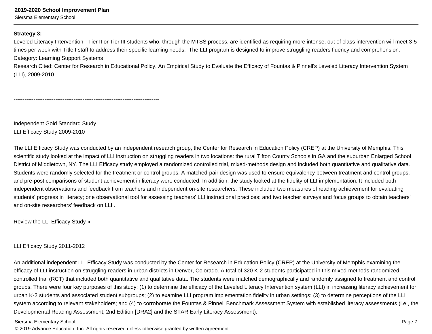Siersma Elementary School

### **Strategy 3:**

Leveled Literacy Intervention - Tier II or Tier III students who, through the MTSS process, are identified as requiring more intense, out of class intervention will meet 3-5 times per week with Title I staff to address their specific learning needs. The LLI program is designed to improve struggling readers fluency and comprehension. Category: Learning Support Systems

Research Cited: Center for Research in Educational Policy, An Empirical Study to Evaluate the Efficacy of Fountas & Pinnell's Leveled Literacy Intervention System(LLI), 2009-2010.

--------------------------------------------------------------------------------

Independent Gold Standard StudyLLI Efficacy Study 2009-2010

The LLI Efficacy Study was conducted by an independent research group, the Center for Research in Education Policy (CREP) at the University of Memphis. Thisscientific study looked at the impact of LLI instruction on struggling readers in two locations: the rural Tifton County Schools in GA and the suburban Enlarged SchoolDistrict of Middletown, NY. The LLI Efficacy study employed a randomized controlled trial, mixed-methods design and included both quantitative and qualitative data.Students were randomly selected for the treatment or control groups. A matched-pair design was used to ensure equivalency between treatment and control groups,and pre-post comparisons of student achievement in literacy were conducted. In addition, the study looked at the fidelity of LLI implementation. It included both independent observations and feedback from teachers and independent on-site researchers. These included two measures of reading achievement for evaluatingstudents' progress in literacy; one observational tool for assessing teachers' LLI instructional practices; and two teacher surveys and focus groups to obtain teachers' and on-site researchers' feedback on LLI .

Review the LLI Efficacy Study »

LLI Efficacy Study 2011-2012

An additional independent LLI Efficacy Study was conducted by the Center for Research in Education Policy (CREP) at the University of Memphis examining the efficacy of LLI instruction on struggling readers in urban districts in Denver, Colorado. A total of 320 K-2 students participated in this mixed-methods randomizedcontrolled trial (RCT) that included both quantitative and qualitative data. The students were matched demographically and randomly assigned to treatment and control groups. There were four key purposes of this study: (1) to determine the efficacy of the Leveled Literacy Intervention system (LLI) in increasing literacy achievement forurban K-2 students and associated student subgroups; (2) to examine LLI program implementation fidelity in urban settings; (3) to determine perceptions of the LLIsystem according to relevant stakeholders; and (4) to corroborate the Fountas & Pinnell Benchmark Assessment System with established literacy assessments (i.e., theDevelopmental Reading Assessment, 2nd Edition [DRA2] and the STAR Early Literacy Assessment).

Siersma Elementary School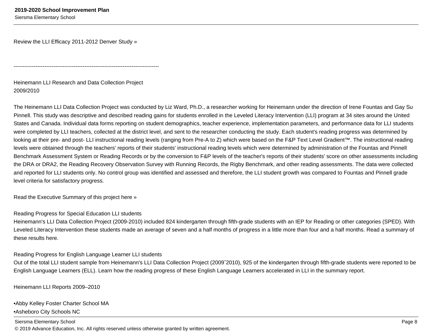Review the LLI Efficacy 2011-2012 Denver Study »

Heinemann LLI Research and Data Collection Project2009/2010

--------------------------------------------------------------------------------

The Heinemann LLI Data Collection Project was conducted by Liz Ward, Ph.D., a researcher working for Heinemann under the direction of Irene Fountas and Gay Su Pinnell. This study was descriptive and described reading gains for students enrolled in the Leveled Literacy Intervention (LLI) program at 34 sites around the UnitedStates and Canada. Individual data forms reporting on student demographics, teacher experience, implementation parameters, and performance data for LLI studentswere completed by LLI teachers, collected at the district level, and sent to the researcher conducting the study. Each student's reading progress was determined by looking at their pre- and post- LLI instructional reading levels (ranging from Pre-A to Z) which were based on the F&P Text Level Gradient™. The instructional reading levels were obtained through the teachers' reports of their students' instructional reading levels which were determined by administration of the Fountas and PinnellBenchmark Assessment System or Reading Records or by the conversion to F&P levels of the teacher's reports of their students' score on other assessments includingthe DRA or DRA2, the Reading Recovery Observation Survey with Running Records, the Rigby Benchmark, and other reading assessments. The data were collectedand reported for LLI students only. No control group was identified and assessed and therefore, the LLI student growth was compared to Fountas and Pinnell gradelevel criteria for satisfactory progress.

Read the Executive Summary of this project here »

### Reading Progress for Special Education LLI students

Heinemann's LLI Data Collection Project (2009-2010) included 824 kindergarten through fifth-grade students with an IEP for Reading or other categories (SPED). With Leveled Literacy Intervention these students made an average of seven and a half months of progress in a little more than four and a half months. Read a summary ofthese results here.

Reading Progress for English Language Learner LLI students

 Out of the total LLI student sample from Heinemann's LLI Data Collection Project (2009ˆ2010), 925 of the kindergarten through fifth-grade students were reported to beEnglish Language Learners (ELL). Learn how the reading progress of these English Language Learners accelerated in LLI in the summary report.

Heinemann LLI Reports 2009–2010

•Abby Kelley Foster Charter School MA•Asheboro City Schools NC

Siersma Elementary Schooll and the contract of the contract of the contract of the contract of the contract of the contract of the contract of the contract of the contract of the contract of the contract of the contract of the contract of the cont © 2019 Advance Education, Inc. All rights reserved unless otherwise granted by written agreement.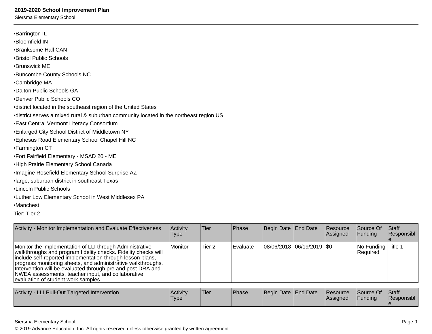Siersma Elementary School

| •Barrington IL                                                                         |
|----------------------------------------------------------------------------------------|
| •Bloomfield IN                                                                         |
| •Branksome Hall CAN                                                                    |
| •Bristol Public Schools                                                                |
| •Brunswick ME                                                                          |
| •Buncombe County Schools NC                                                            |
| •Cambridge MA                                                                          |
| •Dalton Public Schools GA                                                              |
| •Denver Public Schools CO                                                              |
| •district located in the southeast region of the United States                         |
| •district serves a mixed rural & suburban community located in the northeast region US |
| • East Central Vermont Literacy Consortium                                             |
| . Enlarged City School District of Middletown NY                                       |
| • Ephesus Road Elementary School Chapel Hill NC                                        |
| •Farmington CT                                                                         |
| •Fort Fairfield Elementary - MSAD 20 - ME                                              |
| •High Prairie Elementary School Canada                                                 |
| ·Imagine Rosefield Elementary School Surprise AZ                                       |
| •large, suburban district in southeast Texas                                           |
| •Lincoln Public Schools                                                                |
| .Luther Low Elementary School in West Middlesex PA                                     |
| •Manchest                                                                              |

Tier: Tier 2

| Activity - Monitor Implementation and Evaluate Effectiveness                                                                                                                                                                                                                                                                                                                                                         | Activity<br><b>Type</b> | <b>Tier</b>       | Phase    | Begin Date End Date         | Resource<br>Assigned        | Source Of<br>Funding           | <b>Staff</b><br>Responsibl |
|----------------------------------------------------------------------------------------------------------------------------------------------------------------------------------------------------------------------------------------------------------------------------------------------------------------------------------------------------------------------------------------------------------------------|-------------------------|-------------------|----------|-----------------------------|-----------------------------|--------------------------------|----------------------------|
| Monitor the implementation of LLI through Administrative<br>walkthroughs and program fidelity checks. Fidelity checks will<br>include self-reported implementation through lesson plans,<br>progress monitoring sheets, and administrative walkthroughs.<br>Intervention will be evaluated through pre and post DRA and<br>NWEA assessments, teacher input, and collaborative<br>evaluation of student work samples. | Monitor                 | Tier <sub>2</sub> | Evaluate | 08/06/2018  06/19/2019  \$0 |                             | No Funding Title 1<br>Required |                            |
|                                                                                                                                                                                                                                                                                                                                                                                                                      |                         |                   |          |                             |                             |                                |                            |
| Activity - LLI Pull-Out Targeted Intervention                                                                                                                                                                                                                                                                                                                                                                        | Activity<br><b>Type</b> | Tier              | Phase    | Begin Date End Date         | <b>Resource</b><br>Assigned | Source Of<br>Funding           | <b>Staff</b><br>Responsibl |

### Siersma Elementary School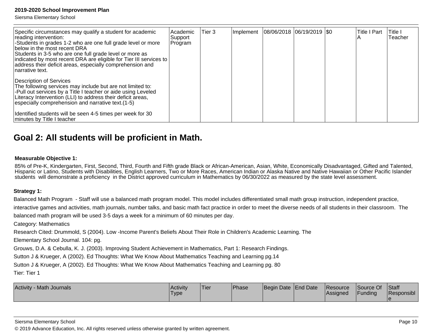Siersma Elementary School

| Specific circumstances may qualify a student for academic<br>reading intervention:<br>-Students in grades 1-2 who are one full grade level or more<br>below in the most recent DRA<br>Students in 3-5 who are one full grade level or more as<br>indicated by most recent DRA are eligible for Tier III services to<br>address their deficit areas, especially comprehension and<br>Inarrative text. | Academic<br> Support<br>Program | Tier 3 | Implement   08/06/2018   06/19/2019   \$0 |  | <b>Title I Part</b> | Title I<br>Teacher |
|------------------------------------------------------------------------------------------------------------------------------------------------------------------------------------------------------------------------------------------------------------------------------------------------------------------------------------------------------------------------------------------------------|---------------------------------|--------|-------------------------------------------|--|---------------------|--------------------|
| Description of Services<br>The following services may include but are not limited to:<br>-Pull out services by a Title I teacher or aide using Leveled<br>Literacy Intervention (LLI) to address their deficit areas,<br>especially comprehension and narrative text.(1-5)<br>Identified students will be seen 4-5 times per week for 30<br>minutes by Title I teacher                               |                                 |        |                                           |  |                     |                    |

### **Goal 2: All students will be proficient in Math.**

### **Measurable Objective 1:**

85% of Pre-K, Kindergarten, First, Second, Third, Fourth and Fifth grade Black or African-American, Asian, White, Economically Disadvantaged, Gifted and Talented,<br>Hispanic or Latino, Students with Disabilities, English Lea students will demonstrate a proficiency in the District approved curriculum in Mathematics by 06/30/2022 as measured by the state level assessment.

### **Strategy 1:**

Balanced Math Program - Staff will use a balanced math program model. This model includes differentiated small math group instruction, independent practice,

interactive games and activities, math journals, number talks, and basic math fact practice in order to meet the diverse needs of all students in their classroom. The

balanced math program will be used 3-5 days a week for a minimum of 60 minutes per day.

Category: Mathematics

Research Cited: Drummold, S (2004). Low -Income Parent's Beliefs About Their Role in Children's Academic Learning. The

Elementary School Journal. 104: pg.

Grouws, D.A. & Cebulla, K. J. (2003). Improving Student Achievement in Mathematics, Part 1: Research Findings.

Sutton J & Krueger, A (2002). Ed Thoughts: What We Know About Mathematics Teaching and Learning pg.14

Sutton J & Krueger, A (2002). Ed Thoughts: What We Know About Mathematics Teaching and Learning pg. 80

Tier: Tier 1

| <b>Activity</b><br>Math Journals | l Acti∨itv<br>Туре | Tier | Phase | Begin Date End Date | <b>Resource</b><br>Assigned | Source Of<br>Funding | Staff<br>Responsibl |
|----------------------------------|--------------------|------|-------|---------------------|-----------------------------|----------------------|---------------------|
|                                  |                    |      |       |                     |                             |                      |                     |

Siersma Elementary School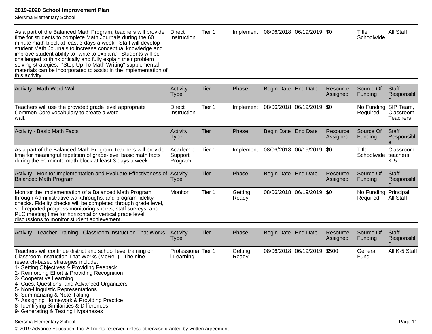Siersma Elementary School

| As a part of the Balanced Math Program, teachers will provide<br>time for students to complete Math Journals during the 60<br>minute math block at least 3 days a week. Staff will develop<br>student Math Journals to increase conceptual knowledge and<br>improve student ability to "write to explain." Students will be<br>challenged to think crtically and fully explain their problem<br>solving strategies. "Step Up To Math Writing" supplemental<br>materials can be incorporated to assist in the implementation of<br>this activity. | Direct<br>Instruction            | Tier <sub>1</sub> | Implement        | 08/06/2018        | $ 06/19/2019 $ \$0 |                      | Title I<br>Schoolwide            | All Staff             |
|--------------------------------------------------------------------------------------------------------------------------------------------------------------------------------------------------------------------------------------------------------------------------------------------------------------------------------------------------------------------------------------------------------------------------------------------------------------------------------------------------------------------------------------------------|----------------------------------|-------------------|------------------|-------------------|--------------------|----------------------|----------------------------------|-----------------------|
| Activity - Math Word Wall                                                                                                                                                                                                                                                                                                                                                                                                                                                                                                                        | Activity<br><b>Type</b>          | Tier              | Phase            | Begin Date        | <b>End Date</b>    | Resource<br>Assigned | Source Of<br>Funding             | Staff<br>Responsibl   |
| Teachers will use the provided grade level appropriate<br>Common Core vocabulary to create a word<br>wall.                                                                                                                                                                                                                                                                                                                                                                                                                                       | <b>Direct</b><br>Instruction     | Tier 1            | Implement        | 08/06/2018        | 06/19/2019         | \$0                  | No Funding SIP Team,<br>Required | Classroom<br>Teachers |
| <b>Activity - Basic Math Facts</b>                                                                                                                                                                                                                                                                                                                                                                                                                                                                                                               | Activity<br><b>Type</b>          | Tier              | Phase            | Begin Date        | <b>End Date</b>    | Resource<br>Assigned | Source Of<br>Funding             | Staff<br>Responsibl   |
| As a part of the Balanced Math Program, teachers will provide<br>time for meaningful repetition of grade-level basic math facts<br>during the 60 minute math block at least 3 days a week.                                                                                                                                                                                                                                                                                                                                                       | Academic<br>Support<br>Program   | Tier 1            | Implement        | 08/06/2018        | $ 06/19/2019 $ \$0 |                      | Title I<br>Schoolwide teachers,  | Classroom<br>$K-5$    |
| Activity - Monitor Implementation and Evaluate Effectiveness of Activity<br>Balanced Math Program                                                                                                                                                                                                                                                                                                                                                                                                                                                | Type                             | Tier              | Phase            | <b>Begin Date</b> | <b>End Date</b>    | Resource<br>Assigned | Source Of<br>Funding             | Staff<br>Responsibl   |
| Monitor the implementation of a Balanced Math Program<br>through Administrative walkthroughs, and program fidelity<br>checks. Fidelity checks will be completed through grade level,<br>self-reported progress monitoring sheets, staff surveys, and<br>PLC meeting time for horizontal or vertical grade level<br>discussions to monitor student achievement.                                                                                                                                                                                   | Monitor                          | Tier 1            | Getting<br>Ready | 08/06/2018        | 06/19/2019         | \$0                  | No Funding Principal<br>Required | All Staff             |
| Activity - Teacher Training - Classroom Instruction That Works                                                                                                                                                                                                                                                                                                                                                                                                                                                                                   | Activity<br><b>Type</b>          | Tier              | Phase            | Begin Date        | <b>End Date</b>    | Resource<br>Assigned | Source Of<br>Funding             | Staff<br>Responsibl   |
| Teachers will continue district and school level training on<br>Classroom Instruction That Works (McReL). The nine<br>research-based strategies include:<br>1- Setting Objectives & Providing Feeback<br>2- Reinforcing Effort & Providing Recognition<br>3- Cooperative Learning<br>4- Cues, Questions, and Advanced Organizers<br>5- Non-Linguistic Representations<br>6- Summarizing & Note-Taking<br>7- Assigning Homework & Providing Practice<br>8- Identifying Similarities & Differences<br>9- Generating & Testing Hypotheses           | Professiona Tier 1<br>I Learning |                   | Getting<br>Ready | 08/06/2018        | 06/19/2019         | \$500                | General<br>Fund                  | All K-5 Staff         |

Siersma Elementary School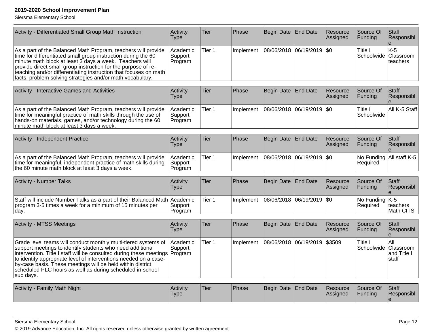Siersma Elementary School

| Activity - Differentiated Small Group Math Instruction                                                                                                                                                                                                                                                                                                                                                         | Activity<br><b>Type</b>        | Tier              | Phase     | Begin Date | <b>End Date</b>    | Resource<br>Assigned | Source Of<br>Funding                 | <b>Staff</b><br>Responsibl                |
|----------------------------------------------------------------------------------------------------------------------------------------------------------------------------------------------------------------------------------------------------------------------------------------------------------------------------------------------------------------------------------------------------------------|--------------------------------|-------------------|-----------|------------|--------------------|----------------------|--------------------------------------|-------------------------------------------|
| As a part of the Balanced Math Program, teachers will provide<br>time for differentiated small group instruction during the 60<br>minute math block at least 3 days a week. Teachers will<br>provide direct small group instruction for the purpose of re-<br>teaching and/or differentiating instruction that focuses on math<br>facts, problem solving strategies and/or math vocabulary.                    | Academic<br>Support<br>Program | Tier <sub>1</sub> | Implement | 08/06/2018 | 06/19/2019         | <b>SO</b>            | Title I<br>Schoolwide                | $K-5$<br>Classroom<br>teachers            |
| Activity - Interactive Games and Activities                                                                                                                                                                                                                                                                                                                                                                    | Activity<br><b>Type</b>        | Tier              | Phase     | Begin Date | <b>End Date</b>    | Resource<br>Assigned | Source Of<br>Funding                 | Staff<br>Responsibl                       |
| As a part of the Balanced Math Program, teachers will provide<br>time for meaningful practice of math skills through the use of<br>hands-on materials, games, and/or technology during the 60<br>minute math block at least 3 days a week.                                                                                                                                                                     | Academic<br>Support<br>Program | Tier 1            | Implement | 08/06/2018 | 06/19/2019         | l\$0                 | Title I<br>Schoolwide                | All K-5 Staff                             |
| Activity - Independent Practice                                                                                                                                                                                                                                                                                                                                                                                | Activity<br><b>Type</b>        | Tier              | Phase     | Begin Date | <b>End Date</b>    | Resource<br>Assigned | Source Of<br>Funding                 | <b>Staff</b><br>Responsibl                |
| As a part of the Balanced Math Program, teachers will provide<br>time for meaningful, independent practice of math skills during<br>the 60 minute math block at least 3 days a week.                                                                                                                                                                                                                           | Academic<br>Support<br>Program | Tier <sub>1</sub> | Implement | 08/06/2018 | $ 06/19/2019 $ \$0 |                      | No Funding All staff K-5<br>Required |                                           |
| <b>Activity - Number Talks</b>                                                                                                                                                                                                                                                                                                                                                                                 | Activity<br><b>Type</b>        | Tier              | Phase     | Begin Date | End Date           | Resource<br>Assigned | Source Of<br>Funding                 | <b>Staff</b><br>Responsibl                |
| Staff will include Number Talks as a part of their Balanced Math Academic<br>program 3-5 times a week for a minimum of 15 minutes per<br>day.                                                                                                                                                                                                                                                                  | Support<br>Program             | Tier 1            | Implement | 08/06/2018 | 06/19/2019         | \$0                  | No Funding   K-5<br>Required         | teachers<br>Math CITS                     |
| <b>Activity - MTSS Meetings</b>                                                                                                                                                                                                                                                                                                                                                                                | Activity<br><b>Type</b>        | Tier              | Phase     | Begin Date | <b>End Date</b>    | Resource<br>Assigned | Source Of<br>Funding                 | <b>Staff</b><br>Responsibl<br>$\mathbf e$ |
| Grade level teams will conduct monthly multi-tiered systems of<br>support meetings to identify students who need additional<br>intervention. Title I staff will be consulted during these meetings<br>to identify appropriate level of interventions needed on a case-<br>by-case basis. These meetings will be held within district<br>scheduled PLC hours as well as during scheduled in-school<br>sub days. | Academic<br>Support<br>Program | Tier <sub>1</sub> | Implement | 08/06/2018 | 06/19/2019         | \$3509               | Title I<br>Schoolwide                | All<br>Classroom<br>and Title I<br>staff  |
| Activity - Family Math Night                                                                                                                                                                                                                                                                                                                                                                                   | Activity<br><b>Type</b>        | Tier              | Phase     | Begin Date | <b>End Date</b>    | Resource<br>Assigned | Source Of<br>Funding                 | <b>Staff</b><br>Responsibl<br>e           |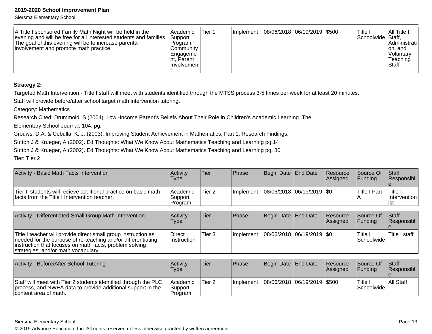Siersma Elementary School

| A Title I sponsored Family Math Night will be held in the<br>evening and will be free for all interested students and families.<br>The goal of this evening will be to increase parental<br>involvement and promote math practice. | l Academic<br>Support<br>IProgram.<br>Communitv<br> Engageme<br>Int. Parent<br>Ilnvolvemen | Tier 1 | Ilmplement |  | 08/06/2018  06/19/2019  \$500 |  | Title ı<br>Schoolwide Staff, | I All Title I<br>IAdministrati l<br>on, and<br>l Voluntarv<br>Teaching<br><b>Staff</b> |
|------------------------------------------------------------------------------------------------------------------------------------------------------------------------------------------------------------------------------------|--------------------------------------------------------------------------------------------|--------|------------|--|-------------------------------|--|------------------------------|----------------------------------------------------------------------------------------|
|------------------------------------------------------------------------------------------------------------------------------------------------------------------------------------------------------------------------------------|--------------------------------------------------------------------------------------------|--------|------------|--|-------------------------------|--|------------------------------|----------------------------------------------------------------------------------------|

### **Strategy 2:**

Targeted Math Intervention - Title I staff will meet with students identified through the MTSS process 3-5 times per week for at least 20 minutes.

Staff will provide before/after school target math intervention tutoring.

Category: Mathematics

Research Cited: Drummold, S (2004). Low -Income Parent's Beliefs About Their Role in Children's Academic Learning. The

Elementary School Journal. 104: pg.

Grouws, D.A. & Cebulla, K. J. (2003). Improving Student Achievement in Mathematics, Part 1: Research Findings.

Sutton J & Krueger, A (2002). Ed Thoughts: What We Know About Mathematics Teaching and Learning pg.14

Sutton J & Krueger, A (2002). Ed Thoughts: What We Know About Mathematics Teaching and Learning pg. 80

Tier: Tier 2

| Activity - Basic Math Facts Intervention                                                                                                                                                                                         | Activity<br><b>Type</b>          | Tier   | Phase        | Begin Date                  | End Date | <b>Resource</b><br>Assigned | lSource Of<br> Funding | Staff<br>Responsibl             |
|----------------------------------------------------------------------------------------------------------------------------------------------------------------------------------------------------------------------------------|----------------------------------|--------|--------------|-----------------------------|----------|-----------------------------|------------------------|---------------------------------|
| Tier II students will recieve additional practice on basic math<br>Ifacts from the Title I Intervention teacher.                                                                                                                 | l Academic<br>Support<br>Program | Tier 2 | Implement    | 08/06/2018 06/19/2019   \$0 |          |                             | Title I Part           | Title I<br>Intervention<br>list |
|                                                                                                                                                                                                                                  |                                  |        |              |                             |          |                             |                        |                                 |
| Activity - Differentiated Small Group Math Intervention                                                                                                                                                                          | Activity<br>Type                 | Tier   | Phase        | Begin Date                  | End Date | <b>Resource</b><br>Assigned | Source Of<br> Funding  | Staff<br>Responsibl             |
| Title I teacher will provide direct small group instruction as<br>needed for the purpose of re-teaching and/or differentiating<br>instruction that focuses on math facts, problem solving<br>strategies, and/or math vocabulary. | <b>Direct</b><br>Instruction     | Tier 3 | Implement    | 08/06/2018 06/19/2019   \$0 |          |                             | Title I<br>Schoolwide  | Title I staff                   |
|                                                                                                                                                                                                                                  |                                  |        |              |                             |          |                             |                        |                                 |
| Activity - Before/After School Tutoring                                                                                                                                                                                          | Activity                         | Tier   | <b>Phase</b> | Begin Date   End Date       |          | Resource                    | Source Of              | Staff<br>$\mathbf{D}$           |

| T<br><b>PUDICATION OCTION I DUITING</b>                                                                                                                 | 17891<br>Type                       | I J I V I | 111 <b>436</b> | $\overline{\phantom{a}}$      | <u>ii wuunuu</u><br><b>Assigned</b> | TUUUTUU UT<br><b>IFundina</b> | TURIT<br><b>Responsibl</b> |
|---------------------------------------------------------------------------------------------------------------------------------------------------------|-------------------------------------|-----------|----------------|-------------------------------|-------------------------------------|-------------------------------|----------------------------|
| Staff will meet with Tier 2 students identified through the PLC<br>process, and NWEA data to provide additional support in the<br>content area of math. | l Academic<br> Support<br>l Program | Tier 2    | l Implement    | 08/06/2018  06/19/2019  \$500 |                                     | Title.<br>lSchoolwide l       | <b>All Staff</b>           |

#### Siersma Elementary School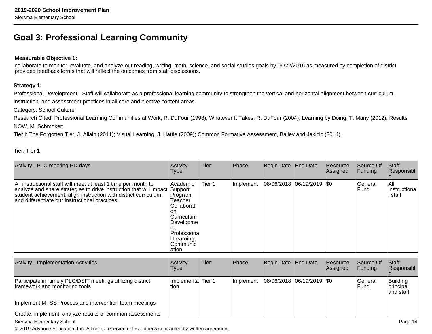### **Goal 3: Professional Learning Community**

### **Measurable Objective 1:**

collaborate to monitor, evaluate, and analyze our reading, writing, math, science, and social studies goals by 06/22/2016 as measured by completion of districtprovided feedback forms that will reflect the outcomes from staff discussions.

### **Strategy 1:**

Professional Development - Staff will collaborate as a professional learning community to strengthen the vertical and horizontal alignment between curriculum, instruction, and assessment practices in all core and elective content areas.

Category: School Culture

 Research Cited: Professional Learning Communities at Work, R. DuFour (1998); Whatever It Takes, R. DuFour (2004); Learning by Doing, T. Many (2012); ResultsNOW, M. Schmoker;.

Tier I: The Forgotten Tier, J. Allain (2011); Visual Learning, J. Hattie (2009); Common Formative Assessment, Bailey and Jakicic (2014).

Tier: Tier 1

| Activity - PLC meeting PD days                                                                                                                                                                                                                                     | Activity<br>Type                                                                                                                         | Tier   | Phase     | Begin Date End Date           | Resource<br> Assigned | Source Of<br>Funding    | Staff<br>Responsibl              |
|--------------------------------------------------------------------------------------------------------------------------------------------------------------------------------------------------------------------------------------------------------------------|------------------------------------------------------------------------------------------------------------------------------------------|--------|-----------|-------------------------------|-----------------------|-------------------------|----------------------------------|
| All instructional staff will meet at least 1 time per month to<br>analyze and share strategies to drive instruction that will impact Support<br>student achievement, align instruction with district curriculum,<br>and differentiate our instructional practices. | l Academic<br>Program,<br>Teacher<br>Collaborati<br>ıon.<br>lCurriculum<br> Developme<br>Professiona<br>Learning,<br>lCommunic<br>lation | Tier 1 | Implement | $ 08/06/2018 06/19/2019 $ \$0 |                       | lGeneral<br><b>Fund</b> | IAII<br> instructiona  <br>staff |

| Activity - Implementation Activities                                                         | Activity<br><b>Type</b>     | Tier | <b>Phase</b> | Begin Date   End Date         | Resource<br>Assigned | Source Of<br>IFundina           | <b>Staff</b><br>Responsibl                 |
|----------------------------------------------------------------------------------------------|-----------------------------|------|--------------|-------------------------------|----------------------|---------------------------------|--------------------------------------------|
| Participate in timely PLC/DSIT meetings utilizing district<br>framework and monitoring tools | Implementa Tier 1<br>ltion. |      | Ilmplement   | $ 08/06/2018 06/19/2019 $ \$0 |                      | <b>IGeneral</b><br><b>IFund</b> | Building<br><b>principal</b><br>land staff |
| Implement MTSS Process and intervention team meetings                                        |                             |      |              |                               |                      |                                 |                                            |
| Create, implement, analyze results of common assessments                                     |                             |      |              |                               |                      |                                 |                                            |

#### Siersma Elementary School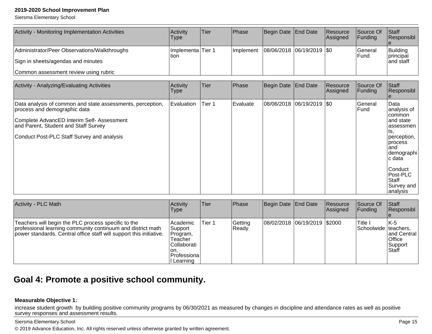Siersma Elementary School

| Activity - Monitoring Implementation Activities | Activitv<br>Type              | Tier | <b>IPhase</b>     | Begin Date End Date           | Resource<br><b>Assigned</b> | Source Of<br><b>IFunding</b> | <b>Staff</b><br>Responsibl    |
|-------------------------------------------------|-------------------------------|------|-------------------|-------------------------------|-----------------------------|------------------------------|-------------------------------|
| Administrator/Peer Observations/Walkthroughs    | Ilmplementa lTier 1<br>ltion. |      | <b>Ilmplement</b> | $ 08/06/2018 06/19/2019 $ \$0 |                             | lGeneral<br><b>IFund</b>     | Building<br><i>Iprincipal</i> |
| Sign in sheets/agendas and minutes              |                               |      |                   |                               |                             |                              | land staff                    |
| Common assessment review using rubric           |                               |      |                   |                               |                             |                              |                               |

| Activity - Analyzing/Evaluating Activities                                                                                                                                                                                     | Activity<br>Type | Tier   | Phase    | Begin Date   End Date     | Resource<br>Assigned | Source Of<br>Funding | Staff<br>Responsibl                                                                                                                                                                                  |
|--------------------------------------------------------------------------------------------------------------------------------------------------------------------------------------------------------------------------------|------------------|--------|----------|---------------------------|----------------------|----------------------|------------------------------------------------------------------------------------------------------------------------------------------------------------------------------------------------------|
| Data analysis of common and state assessments, perception,<br>process and demographic data<br>Complete AdvancED Interim Self- Assessment<br>and Parent, Student and Staff Survey<br>Conduct Post-PLC Staff Survey and analysis | Evaluation       | Tier 1 | Evaluate | 08/06/2018 06/19/2019 \$0 |                      | General<br>Fund      | Data<br>analysis of<br><b>common</b><br>and state<br>lassessmen<br>lts,<br>perception,<br>process<br>land<br> demographi<br>c data<br>Conduct<br>Post-PLC<br><b>Staff</b><br>Survey and<br> analysis |

| Activity - PLC Math                                                                                                                                                                       | Activity<br><b>Type</b>                                                                        | Tier   | Phase            | Begin Date End Date          | Resource<br><b>Assigned</b> | Source Of<br>IFundina           | Staff<br>Responsibl                                      |
|-------------------------------------------------------------------------------------------------------------------------------------------------------------------------------------------|------------------------------------------------------------------------------------------------|--------|------------------|------------------------------|-----------------------------|---------------------------------|----------------------------------------------------------|
| Teachers will begin the PLC process specific to the<br>professional learning community continuum and district math<br>power standards. Central office staff will support this initiative. | Academic<br>Support<br>Program,<br>Teacher<br>Collaborati<br>ion.<br> Professiona <br>Learning | Tier 1 | Getting<br>Ready | 08/02/2018 06/19/2019 \$2000 |                             | Title I<br>Schoolwide teachers, | IK-5<br>and Central<br><b>Office</b><br>Support<br>Staff |

### **Goal 4: Promote a positive school community.**

### **Measurable Objective 1:**

increase student growth by building positive community programs by 06/30/2021 as measured by changes in discipline and attendance rates as well as positive survey responses and assessment results.

### Siersma Elementary School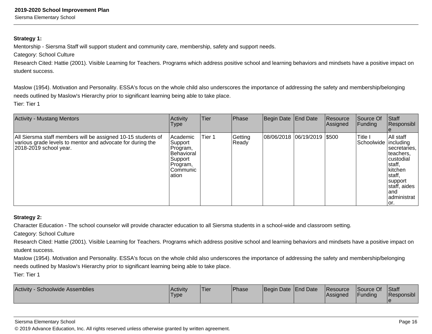### Siersma Elementary School

### **Strategy 1:**

Mentorship - Siersma Staff will support student and community care, membership, safety and support needs.

Category: School Culture

Research Cited: Hattie (2001). Visible Learning for Teachers. Programs which address positive school and learning behaviors and mindsets have a positive impact on student success.

Maslow (1954). Motivation and Personality. ESSA's focus on the whole child also underscores the importance of addressing the safety and membership/belongingneeds outlined by Maslow's Hierarchy prior to significant learning being able to take place.Tier: Tier 1

| <b>Activity - Mustang Mentors</b>                                                                                                                       | Activity<br>Type                                                                                  | Tier   | Phase            | Begin Date End Date           | Resource<br>Assigned | Source Of<br>Funding              | Staff<br>Responsibl                                                                                                                            |
|---------------------------------------------------------------------------------------------------------------------------------------------------------|---------------------------------------------------------------------------------------------------|--------|------------------|-------------------------------|----------------------|-----------------------------------|------------------------------------------------------------------------------------------------------------------------------------------------|
| All Siersma staff members will be assigned 10-15 students of<br>various grade levels to mentor and advocate for during the<br>$ 2018-2019$ school year. | Academic<br>Support<br>Program,<br><b>Behavioral</b><br>Support<br>Program,<br>Communic<br>lation | Tier 1 | Getting<br>Ready | 08/06/2018  06/19/2019  \$500 |                      | Title I<br>Schoolwide   including | All staff<br>secretaries.<br>Iteachers.<br>custodial<br> staff,<br>kitchen<br>staff,<br>support<br>staff, aides<br>land<br>administrat<br>lor. |

### **Strategy 2:**

Character Education - The school counselor will provide character education to all Siersma students in a school-wide and classroom setting.

Category: School Culture

Research Cited: Hattie (2001). Visible Learning for Teachers. Programs which address positive school and learning behaviors and mindsets have a positive impact on student success.

Maslow (1954). Motivation and Personality. ESSA's focus on the whole child also underscores the importance of addressing the safety and membership/belongingneeds outlined by Maslow's Hierarchy prior to significant learning being able to take place.

Tier: Tier 1

| Activity<br>Schoolwide Assemblies | <b>Activity</b><br>'Type | !Tier | <b>Phase</b> | Begin Date End Date | <b>Resource</b><br> Assigned | Source Of<br>Funding | <b>Staff</b><br>Responsibl |
|-----------------------------------|--------------------------|-------|--------------|---------------------|------------------------------|----------------------|----------------------------|
|                                   |                          |       |              |                     |                              |                      |                            |

#### Siersma Elementary School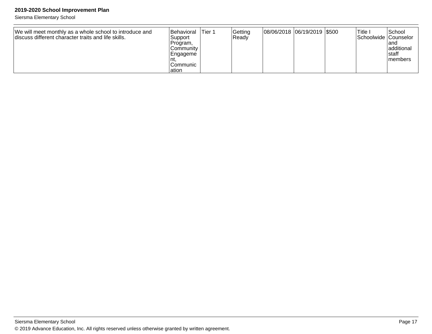Siersma Elementary School

| We will meet monthly as a whole school to introduce and<br>Idiscuss different character traits and life skills. | <b>Behavioral</b><br>Support<br>Program.<br>Community | 'Tier 1 | Getting<br>Ready | 08/06/2018 06/19/2019 \$500 |  | Title I<br> Schoolwide  Counselor | 'School<br>land<br>additional |
|-----------------------------------------------------------------------------------------------------------------|-------------------------------------------------------|---------|------------------|-----------------------------|--|-----------------------------------|-------------------------------|
|                                                                                                                 | Engageme<br>Communic<br>lation                        |         |                  |                             |  |                                   | Istaff<br>Imembers            |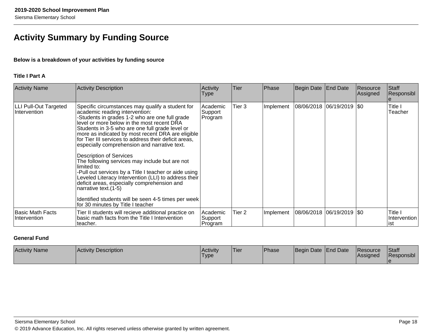## **Activity Summary by Funding Source**

### **Below is a breakdown of your activities by funding source**

### **Title I Part A**

| <b>Activity Name</b>                         | <b>Activity Description</b>                                                                                                                                                                                                                                                                                                                                                                                                                                                                                                                                                                                                                                                                                                                                                                  | Activity<br>Type               | Tier   | Phase     | Begin Date                | <b>End Date</b> | Resource<br>Assigned | Staff<br>Responsibl             |
|----------------------------------------------|----------------------------------------------------------------------------------------------------------------------------------------------------------------------------------------------------------------------------------------------------------------------------------------------------------------------------------------------------------------------------------------------------------------------------------------------------------------------------------------------------------------------------------------------------------------------------------------------------------------------------------------------------------------------------------------------------------------------------------------------------------------------------------------------|--------------------------------|--------|-----------|---------------------------|-----------------|----------------------|---------------------------------|
| <b>LLI Pull-Out Targeted</b><br>Intervention | Specific circumstances may qualify a student for<br>academic reading intervention:<br>-Students in grades 1-2 who are one full grade<br>level or more below in the most recent DRA<br>Students in 3-5 who are one full grade level or<br>more as indicated by most recent DRA are eligible<br>for Tier III services to address their deficit areas,<br>especially comprehension and narrative text.<br><b>Description of Services</b><br>The following services may include but are not<br>Ilimited to:<br>-Pull out services by a Title I teacher or aide using<br>Leveled Literacy Intervention (LLI) to address their<br>deficit areas, especially comprehension and<br>narrative text. (1-5)<br>Identified students will be seen 4-5 times per week<br>for 30 minutes by Title I teacher | Academic<br>Support<br>Program | Tier 3 | Implement | 08/06/2018 06/19/2019 \$0 |                 |                      | Title I<br>Teacher              |
| Basic Math Facts<br>Intervention             | Tier II students will recieve additional practice on<br>basic math facts from the Title I Intervention<br>teacher.                                                                                                                                                                                                                                                                                                                                                                                                                                                                                                                                                                                                                                                                           | Academic<br>Support<br>Program | Tier 2 | Implement | 08/06/2018 06/19/2019 \$0 |                 |                      | Title I<br>Intervention<br>list |

### **General Fund**

| <b>Activity Name</b> | Activity Description | <b>IActivity</b><br><sup>1</sup> Type | 'Tier | <b>Phase</b> | Begin Date End Date | <b>Resource</b><br><b>IAssigned</b> | Staff<br>Responsibl |
|----------------------|----------------------|---------------------------------------|-------|--------------|---------------------|-------------------------------------|---------------------|
|                      |                      |                                       |       |              |                     |                                     |                     |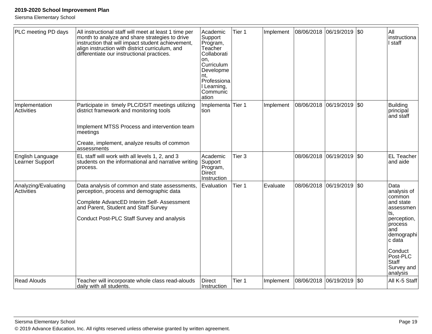Siersma Elementary School

| PLC meeting PD days                 | All instructional staff will meet at least 1 time per<br>month to analyze and share strategies to drive<br>instruction that will impact student achievement,<br>align instruction with district curriculum, and<br>differentiate our instructional practices. | Academic<br>Support<br>Program,<br>Teacher<br>Collaborati<br>on.<br>Curriculum<br>Developme<br>nt.<br>Professiona<br>I Learning,<br>Communic<br>ation | Tier 1            | Implement | 08/06/2018 06/19/2019 \$0 |                       |     | All<br>instructiona<br>I staff                                                                                                                                                           |
|-------------------------------------|---------------------------------------------------------------------------------------------------------------------------------------------------------------------------------------------------------------------------------------------------------------|-------------------------------------------------------------------------------------------------------------------------------------------------------|-------------------|-----------|---------------------------|-----------------------|-----|------------------------------------------------------------------------------------------------------------------------------------------------------------------------------------------|
| Implementation<br>Activities        | Participate in timely PLC/DSIT meetings utilizing<br>district framework and monitoring tools<br>Implement MTSS Process and intervention team<br>meetings<br>Create, implement, analyze results of common<br>assessments                                       | Implementa Tier 1<br>tion                                                                                                                             |                   | Implement | 08/06/2018                | 06/19/2019            | \$0 | <b>Building</b><br>principal<br>and staff                                                                                                                                                |
| English Language<br>Learner Support | EL staff will work with all levels 1, 2, and 3<br>students on the informational and narrative writing<br>process.                                                                                                                                             | Academic<br>Support<br>Program,<br><b>Direct</b><br>Instruction                                                                                       | Tier <sub>3</sub> |           |                           | 08/06/2018 06/19/2019 | \$0 | <b>EL Teacher</b><br>and aide                                                                                                                                                            |
| Analyzing/Evaluating<br>Activities  | Data analysis of common and state assessments,<br>perception, process and demographic data<br>Complete AdvancED Interim Self- Assessment<br>and Parent, Student and Staff Survey<br>Conduct Post-PLC Staff Survey and analysis                                | Evaluation                                                                                                                                            | Tier 1            | Evaluate  | 08/06/2018                | 06/19/2019            | \$0 | Data<br>analysis of<br>common<br>and state<br>assessmen<br>ts.<br>perception,<br>process<br>and<br>demographi<br>c data<br>Conduct<br>Post-PLC<br><b>Staff</b><br>Survey and<br>analysis |
| <b>Read Alouds</b>                  | Teacher will incorporate whole class read-alouds<br>daily with all students.                                                                                                                                                                                  | <b>Direct</b><br>Instruction                                                                                                                          | Tier 1            | Implement | 08/06/2018                | 06/19/2019            | \$0 | All K-5 Staff                                                                                                                                                                            |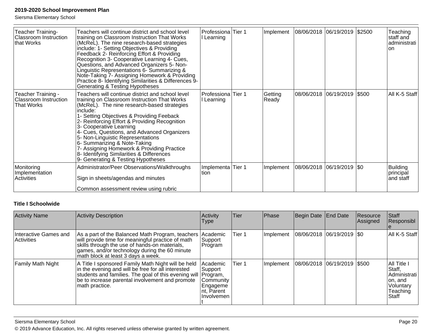Siersma Elementary School

| Teacher Training-<br><b>Classroom Instruction</b><br>that Works         | Teachers will continue district and school level<br>training on Classroom Instruction That Works<br>(McReL). The nine research-based strategies<br>include: 1- Setting Objectives & Providing<br>Feedback 2- Reinforcing Effort & Providing<br>Recognition 3- Cooperative Learning 4- Cues,<br>Questions, and Advanced Organizers 5- Non-<br>Linguistic Representations 6- Summarizing &<br>Note-Taking 7- Assigning Homework & Providing<br>Practice 8- Identifying Similarities & Differences 9-<br>Generating & Testing Hypotheses     | Professiona<br>l Learning | Tier 1 | Implement        | 08/06/2018 06/19/2019 \$2500  | Teaching<br>staff and<br> administrati  <br>lon |
|-------------------------------------------------------------------------|-------------------------------------------------------------------------------------------------------------------------------------------------------------------------------------------------------------------------------------------------------------------------------------------------------------------------------------------------------------------------------------------------------------------------------------------------------------------------------------------------------------------------------------------|---------------------------|--------|------------------|-------------------------------|-------------------------------------------------|
| Teacher Training -<br><b>Classroom Instruction</b><br><b>That Works</b> | Teachers will continue district and school level<br>training on Classroom Instruction That Works<br>(McReL). The nine research-based strategies<br>include:<br>1- Setting Objectives & Providing Feeback<br>2- Reinforcing Effort & Providing Recognition<br>3- Cooperative Learning<br>4- Cues, Questions, and Advanced Organizers<br>5- Non-Linguistic Representations<br>6- Summarizing & Note-Taking<br>7- Assigning Homework & Providing Practice<br>8- Identifying Similarities & Differences<br>9- Generating & Testing Hypotheses | Professiona<br>l Learning | Tier 1 | Getting<br>Ready | 08/06/2018  06/19/2019  \$500 | All K-5 Staff                                   |
| Monitoring<br>Implementation<br>Activities                              | Administrator/Peer Observations/Walkthroughs<br>Sign in sheets/agendas and minutes<br>Common assessment review using rubric                                                                                                                                                                                                                                                                                                                                                                                                               | Implementa<br>Ition       | Tier 1 | Implement        | 08/06/2018 06/19/2019 \$0     | Building<br> principal<br> and staff            |

### **Title I Schoolwide**

| <b>Activity Name</b>                | <b>Activity Description</b>                                                                                                                                                                                                                      | Activity<br><b>Type</b>                                                     | <b>Tier</b> | Phase     | Begin Date End Date         | Resource<br>Assigned | Staff<br>Responsibl                                                                |
|-------------------------------------|--------------------------------------------------------------------------------------------------------------------------------------------------------------------------------------------------------------------------------------------------|-----------------------------------------------------------------------------|-------------|-----------|-----------------------------|----------------------|------------------------------------------------------------------------------------|
| Interactive Games and<br>Activities | As a part of the Balanced Math Program, teachers<br>will provide time for meaningful practice of math<br>skills through the use of hands-on materials,<br>games, and/or technology during the 60 minute<br>math block at least 3 days a week.    | <b>Academic</b><br>Support<br>Program                                       | Tier 1      | Implement | 08/06/2018 06/19/2019   \$0 |                      | All K-5 Staff                                                                      |
| Family Math Night                   | A Title I sponsored Family Math Night will be held<br>in the evening and will be free for all interested<br>students and families. The goal of this evening will   Program,<br>be to increase parental involvement and promote<br>math practice. | Academic<br> Support<br>Community<br>Engageme<br>Int, Parent<br>ilnvolvemen | Tier 1      | Implement | 08/06/2018 06/19/2019 \$500 |                      | All Title I<br>Staff,<br>Administrati<br>on, and<br>Voluntary<br>Teaching<br>Staff |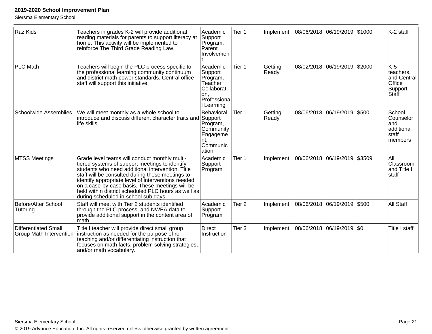Siersma Elementary School

| Raz Kids                                                      | Teachers in grades K-2 will provide additional<br>reading materials for parents to support literacy at<br>home. This activity will be implemented to<br>reinforce The Third Grade Reading Law.                                                                                                                                                                                                                    | Academic<br>Support<br>Program,<br>Parent<br>Involvemen                                     | Tier 1            | Implement        |                        | 08/06/2018 06/19/2019 \$1000 |        | K-2 staff                                                       |
|---------------------------------------------------------------|-------------------------------------------------------------------------------------------------------------------------------------------------------------------------------------------------------------------------------------------------------------------------------------------------------------------------------------------------------------------------------------------------------------------|---------------------------------------------------------------------------------------------|-------------------|------------------|------------------------|------------------------------|--------|-----------------------------------------------------------------|
| <b>PLC Math</b>                                               | Teachers will begin the PLC process specific to<br>the professional learning community continuum<br>and district math power standards. Central office<br>staff will support this initiative.                                                                                                                                                                                                                      | Academic<br>Support<br>Program,<br>Teacher<br>Collaborati<br>on.<br>Professiona<br>Learning | Tier 1            | Getting<br>Ready |                        | 08/02/2018 06/19/2019        | \$2000 | $K-5$<br>teachers,<br>and Central<br>Office<br>Support<br>Staff |
| <b>Schoolwide Assemblies</b>                                  | We will meet monthly as a whole school to<br>introduce and discuss different character traits and Support<br>life skills.                                                                                                                                                                                                                                                                                         | Behavioral<br>Program,<br>Community<br>Engageme<br>nt.<br>Communic<br>ation                 | Tier 1            | Getting<br>Ready | 08/06/2018             | 06/19/2019                   | \$500  | School<br>Counselor<br>and<br>additional<br>staff<br>members    |
| <b>MTSS Meetings</b>                                          | Grade level teams will conduct monthly multi-<br>tiered systems of support meetings to identify<br>students who need additional intervention. Title I<br>staff will be consulted during these meetings to<br>identify appropriate level of interventions needed<br>on a case-by-case basis. These meetings will be<br>held within district scheduled PLC hours as well as<br>during scheduled in-school sub days. | Academic<br>Support<br>Program                                                              | Tier 1            | Implement        | 08/06/2018  06/19/2019 |                              | \$3509 | All<br>Classroom<br>and Title I<br>staff                        |
| <b>Before/After School</b><br>Tutoring                        | Staff will meet with Tier 2 students identified<br>through the PLC process, and NWEA data to<br>provide additional support in the content area of<br>math.                                                                                                                                                                                                                                                        | Academic<br>Support<br>Program                                                              | Tier <sub>2</sub> | Implement        | 08/06/2018 06/19/2019  |                              | \$500  | All Staff                                                       |
| <b>Differentiated Small</b><br><b>Group Math Intervention</b> | Title I teacher will provide direct small group<br>instruction as needed for the purpose of re-<br>teaching and/or differentiating instruction that<br>focuses on math facts, problem solving strategies,<br>and/or math vocabulary.                                                                                                                                                                              | <b>Direct</b><br>Instruction                                                                | Tier <sub>3</sub> | Implement        | 08/06/2018 06/19/2019  |                              | \$0    | Title I staff                                                   |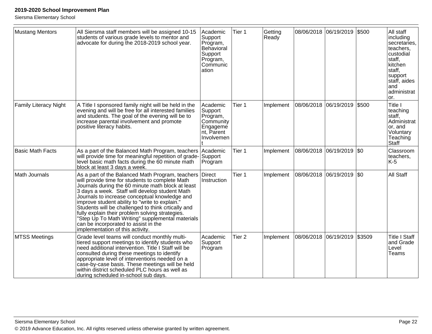Siersma Elementary School

| <b>Mustang Mentors</b>       | All Siersma staff members will be assigned 10-15<br>students of various grade levels to mentor and<br>advocate for during the 2018-2019 school year.                                                                                                                                                                                                                                                                                                                                                                                                          | Academic<br>Support<br>Program,<br>Behavioral<br>Support<br>Program,<br>Communic<br>ation | Tier 1            | Getting<br>Ready |            | 08/06/2018 06/19/2019     | \$500  | All staff<br>including<br>secretaries,<br>teachers,<br>custodial<br>staff,<br>kitchen<br>staff,<br>support<br>staff, aides<br>and<br>administrat<br>or. |
|------------------------------|---------------------------------------------------------------------------------------------------------------------------------------------------------------------------------------------------------------------------------------------------------------------------------------------------------------------------------------------------------------------------------------------------------------------------------------------------------------------------------------------------------------------------------------------------------------|-------------------------------------------------------------------------------------------|-------------------|------------------|------------|---------------------------|--------|---------------------------------------------------------------------------------------------------------------------------------------------------------|
| <b>Family Literacy Night</b> | A Title I sponsored family night will be held in the<br>evening and will be free for all interested families<br>and students. The goal of the evening will be to<br>increase parental involvement and promote<br>positive literacy habits.                                                                                                                                                                                                                                                                                                                    | Academic<br>Support<br>Program,<br>Community<br>Engageme<br>nt, Parent<br>Involvemen      | Tier 1            | Implement        |            | 08/06/2018 06/19/2019     | \$500  | Title I<br>teaching<br>staff,<br>Administrat<br>or, and<br>Voluntary<br>Teaching<br>Staff                                                               |
| <b>Basic Math Facts</b>      | As a part of the Balanced Math Program, teachers<br>will provide time for meaningful repetition of grade-<br>level basic math facts during the 60 minute math<br>block at least 3 days a week.                                                                                                                                                                                                                                                                                                                                                                | Academic<br>Support<br>Program                                                            | Tier 1            | Implement        |            | 08/06/2018 06/19/2019 \$0 |        | Classroom<br>teachers,<br>K-5                                                                                                                           |
| Math Journals                | As a part of the Balanced Math Program, teachers Direct<br>will provide time for students to complete Math<br>Journals during the 60 minute math block at least<br>3 days a week. Staff will develop student Math<br>Journals to increase conceptual knowledge and<br>improve student ability to "write to explain."<br>Students will be challenged to think crtically and<br>fully explain their problem solving strategies.<br>'Step Up To Math Writing" supplemental materials<br>can be incorporated to assist in the<br>implementation of this activity. | Instruction                                                                               | Tier 1            | Implement        | 08/06/2018 | 06/19/2019 \$0            |        | All Staff                                                                                                                                               |
| <b>MTSS Meetings</b>         | Grade level teams will conduct monthly multi-<br>tiered support meetings to identify students who<br>need additional intervention. Title I Staff will be<br>consulted during these meetings to identify<br>appropriate level of interventions needed on a<br>case-by-case basis. These meetings will be held<br>within district scheduled PLC hours as well as<br>during scheduled in-school sub days.                                                                                                                                                        | Academic<br>Support<br>Program                                                            | Tier <sub>2</sub> | Implement        |            | 08/06/2018 06/19/2019     | \$3509 | <b>Title I Staff</b><br>and Grade<br>Level<br>Teams                                                                                                     |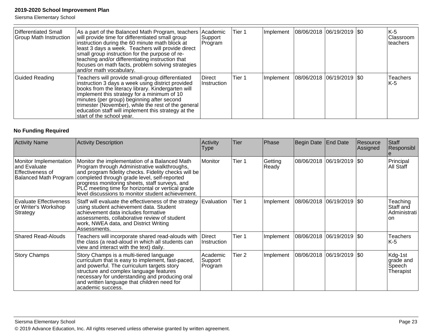Siersma Elementary School

| Differentiated Small<br><b>Group Math Instruction</b> | As a part of the Balanced Math Program, teachers Academic<br>will provide time for differentiated small group<br>instruction during the 60 minute math block at<br>least 3 days a week. Teachers will provide direct<br>small group instruction for the purpose of re-<br>teaching and/or differentiating instruction that<br>focuses on math facts, problem solving strategies<br>and/or math vocabulary. | Support<br>Program    | Tier 1 | Implement | $ 08/06/2018 06/19/2019 $ \$0 |  | K-5<br> Classroom<br>lteachers |
|-------------------------------------------------------|------------------------------------------------------------------------------------------------------------------------------------------------------------------------------------------------------------------------------------------------------------------------------------------------------------------------------------------------------------------------------------------------------------|-----------------------|--------|-----------|-------------------------------|--|--------------------------------|
| Guided Reading                                        | Teachers will provide small-group differentiated<br>instruction 3 days a week using district provided<br>books from the literacy library. Kindergarten will<br>implement this strategy for a minimum of 10<br>minutes (per group) beginning after second<br>trimester (November), while the rest of the general<br>education staff will implement this strategy at the<br>start of the school year.        | Direct<br>Instruction | Tier 1 | Implement | $ 08/06/2018 06/19/2019 $ \$0 |  | <b>Teachers</b><br>K-5         |

### **No Funding Required**

| <b>Activity Name</b>                                                                        | <b>Activity Description</b>                                                                                                                                                                                                                                                                                                                                       | Activity<br>Type               | <b>Tier</b>       | Phase            | Begin Date                | <b>End Date</b>            | Resource<br>Assigned | Staff<br>Responsibl                          |
|---------------------------------------------------------------------------------------------|-------------------------------------------------------------------------------------------------------------------------------------------------------------------------------------------------------------------------------------------------------------------------------------------------------------------------------------------------------------------|--------------------------------|-------------------|------------------|---------------------------|----------------------------|----------------------|----------------------------------------------|
| Monitor Implementation<br>and Evaluate<br>lEffectiveness of<br><b>Balanced Math Program</b> | Monitor the implementation of a Balanced Math<br>Program through Administrative walkthroughs,<br>and program fidelity checks. Fidelity checks will be<br>completed through grade level, self-reported<br>progress monitoring sheets, staff surveys, and<br>PLC meeting time for horizontal or vertical grade<br>level discussions to monitor student achievement. | Monitor                        | Tier 1            | Getting<br>Ready |                           | 08/06/2018 06/19/2019  \$0 |                      | Principal<br>All Staff                       |
| Evaluate Effectiveness<br>or Writer's Workshop <br>Strategy                                 | Staff will evaluate the effectiveness of the strategy<br>using student achievement data. Student<br>achievement data includes formative<br>assessments, collaborative review of student<br>work, NWEA data, and District Writing<br>Assessments.                                                                                                                  | Evaluation                     | Tier 1            | Implement        | 08/06/2018 06/19/2019 \$0 |                            |                      | Teaching<br>Staff and<br>Administrati<br>on. |
| <b>Shared Read-Alouds</b>                                                                   | Teachers will incorporate shared read-alouds with<br>the class (a read-aloud in which all students can<br>view and interact with the text) daily.                                                                                                                                                                                                                 | Direct<br>Instruction          | Tier 1            | Implement        | 08/06/2018 06/19/2019 \$0 |                            |                      | <b>Teachers</b><br>K-5                       |
| <b>Story Champs</b>                                                                         | Story Champs is a multi-tiered language<br>curriculum that is easy to implement, fast-paced,<br>and powerful. The curriculum targets story<br>structure and complex language features<br>necessary for understanding and producing oral<br>and written language that children need for<br>academic success.                                                       | Academic<br>Support<br>Program | Tier <sub>2</sub> | Implement        | 08/06/2018 06/19/2019 \$0 |                            |                      | Kdg-1st<br>grade and<br>Speech<br>Therapist  |